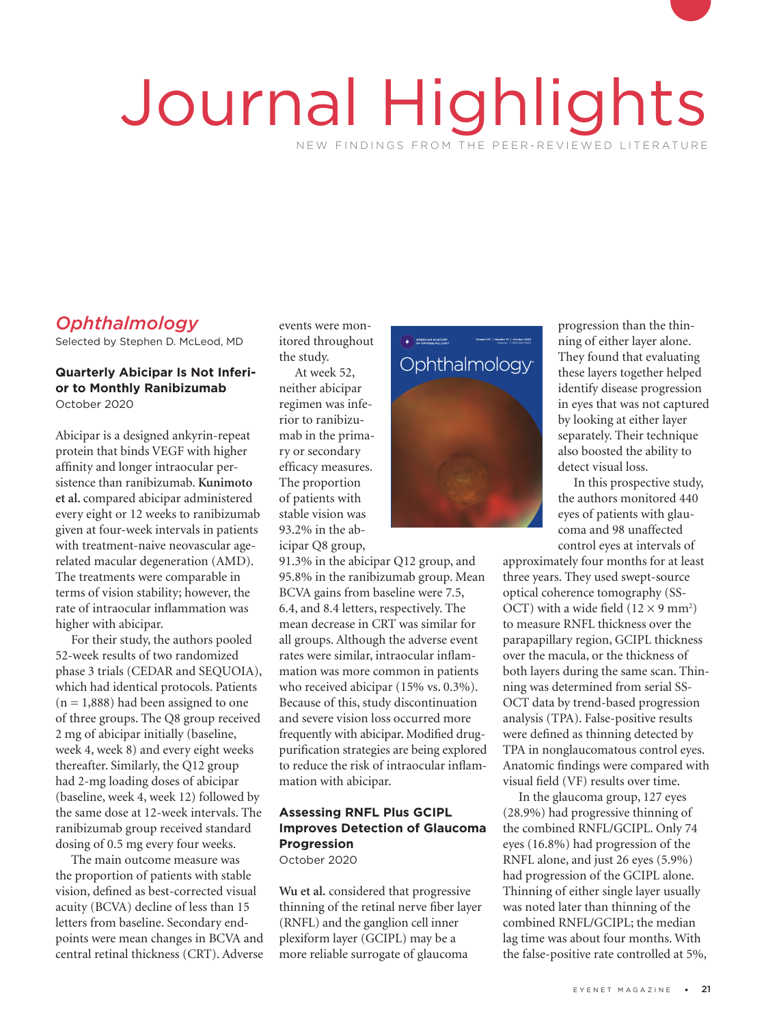# Journal Highlights NEW FINDINGS FROM THE PEER-REVIEWED LITERATURE

# *Ophthalmology*

Selected by Stephen D. McLeod, MD

#### **Quarterly Abicipar Is Not Inferior to Monthly Ranibizumab** October 2020

Abicipar is a designed ankyrin-repeat protein that binds VEGF with higher affinity and longer intraocular persistence than ranibizumab. **Kunimoto et al.** compared abicipar administered every eight or 12 weeks to ranibizumab given at four-week intervals in patients with treatment-naive neovascular agerelated macular degeneration (AMD). The treatments were comparable in terms of vision stability; however, the rate of intraocular inflammation was higher with abicipar.

For their study, the authors pooled 52-week results of two randomized phase 3 trials (CEDAR and SEQUOIA), which had identical protocols. Patients  $(n = 1,888)$  had been assigned to one of three groups. The Q8 group received 2 mg of abicipar initially (baseline, week 4, week 8) and every eight weeks thereafter. Similarly, the Q12 group had 2-mg loading doses of abicipar (baseline, week 4, week 12) followed by the same dose at 12-week intervals. The ranibizumab group received standard dosing of 0.5 mg every four weeks.

The main outcome measure was the proportion of patients with stable vision, defined as best-corrected visual acuity (BCVA) decline of less than 15 letters from baseline. Secondary endpoints were mean changes in BCVA and central retinal thickness (CRT). Adverse

events were monitored throughout the study.

At week 52, neither abicipar regimen was inferior to ranibizumab in the primary or secondary efficacy measures. The proportion of patients with stable vision was icipar Q8 group, egimen wa<br>ior to rani<br>nab in the<br>wor secon

91.3% in the abicipar Q12 group, and 95.8% in the ranibizumab group. Mean BCVA gains from baseline were 7.5, 6.4, and 8.4 letters, respectively. The mean decrease in CRT was similar for all groups. Although the adverse event rates were similar, intraocular inflammation was more common in patients who received abicipar (15% vs. 0.3%). Because of this, study discontinuation and severe vision loss occurred more frequently with abicipar. Modified drugpurification strategies are being explored to reduce the risk of intraocular inflammation with abicipar.

## **Assessing RNFL Plus GCIPL Improves Detection of Glaucoma Progression**

October 2020

**Wu et al.** considered that progressive thinning of the retinal nerve fiber layer (RNFL) and the ganglion cell inner plexiform layer (GCIPL) may be a more reliable surrogate of glaucoma



progression than the thinning of either layer alone. They found that evaluating these layers together helped identify disease progression in eyes that was not captured by looking at either layer separately. Their technique also boosted the ability to detect visual loss.

In this prospective study, the authors monitored 440 eyes of patients with glaucoma and 98 unaffected control eyes at intervals of

approximately four months for at least three years. They used swept-source optical coherence tomography (SS-OCT) with a wide field  $(12 \times 9 \text{ mm}^2)$ to measure RNFL thickness over the parapapillary region, GCIPL thickness over the macula, or the thickness of both layers during the same scan. Thinning was determined from serial SS-OCT data by trend-based progression analysis (TPA). False-positive results were defined as thinning detected by TPA in nonglaucomatous control eyes. Anatomic findings were compared with visual field (VF) results over time.

In the glaucoma group, 127 eyes (28.9%) had progressive thinning of the combined RNFL/GCIPL. Only 74 eyes (16.8%) had progression of the RNFL alone, and just 26 eyes (5.9%) had progression of the GCIPL alone. Thinning of either single layer usually was noted later than thinning of the combined RNFL/GCIPL; the median lag time was about four months. With the false-positive rate controlled at 5%,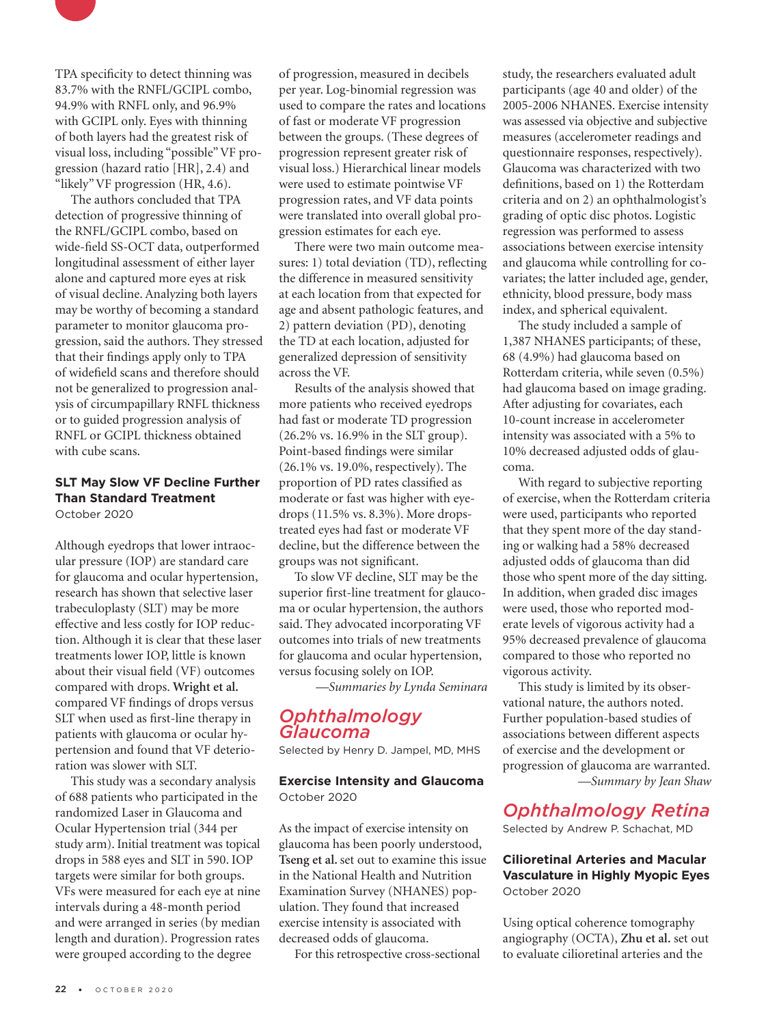

TPA specificity to detect thinning was 83.7% with the RNFL/GCIPL combo, 94.9% with RNFL only, and 96.9% with GCIPL only. Eyes with thinning of both layers had the greatest risk of visual loss, including "possible" VF progression (hazard ratio [HR], 2.4) and "likely" VF progression (HR, 4.6).

The authors concluded that TPA detection of progressive thinning of the RNFL/GCIPL combo, based on wide-field SS-OCT data, outperformed longitudinal assessment of either layer alone and captured more eyes at risk of visual decline. Analyzing both layers may be worthy of becoming a standard parameter to monitor glaucoma progression, said the authors. They stressed that their findings apply only to TPA of widefield scans and therefore should not be generalized to progression analysis of circumpapillary RNFL thickness or to guided progression analysis of RNFL or GCIPL thickness obtained with cube scans.

#### **SLT May Slow VF Decline Further Than Standard Treatment** October 2020

Although eyedrops that lower intraocular pressure (IOP) are standard care for glaucoma and ocular hypertension, research has shown that selective laser trabeculoplasty (SLT) may be more effective and less costly for IOP reduction. Although it is clear that these laser treatments lower IOP, little is known about their visual field (VF) outcomes compared with drops. **Wright et al.**  compared VF findings of drops versus SLT when used as first-line therapy in patients with glaucoma or ocular hypertension and found that VF deterioration was slower with SLT.

This study was a secondary analysis of 688 patients who participated in the randomized Laser in Glaucoma and Ocular Hypertension trial (344 per study arm). Initial treatment was topical drops in 588 eyes and SLT in 590. IOP targets were similar for both groups. VFs were measured for each eye at nine intervals during a 48-month period and were arranged in series (by median length and duration). Progression rates were grouped according to the degree

of progression, measured in decibels per year. Log-binomial regression was used to compare the rates and locations of fast or moderate VF progression between the groups. (These degrees of progression represent greater risk of visual loss.) Hierarchical linear models were used to estimate pointwise VF progression rates, and VF data points were translated into overall global progression estimates for each eye.

There were two main outcome measures: 1) total deviation (TD), reflecting the difference in measured sensitivity at each location from that expected for age and absent pathologic features, and 2) pattern deviation (PD), denoting the TD at each location, adjusted for generalized depression of sensitivity across the VF.

Results of the analysis showed that more patients who received eyedrops had fast or moderate TD progression (26.2% vs. 16.9% in the SLT group). Point-based findings were similar (26.1% vs. 19.0%, respectively). The proportion of PD rates classified as moderate or fast was higher with eyedrops (11.5% vs. 8.3%). More dropstreated eyes had fast or moderate VF decline, but the difference between the groups was not significant.

To slow VF decline, SLT may be the superior first-line treatment for glaucoma or ocular hypertension, the authors said. They advocated incorporating VF outcomes into trials of new treatments for glaucoma and ocular hypertension, versus focusing solely on IOP.

*—Summaries by Lynda Seminara*

## *Ophthalmology Glaucoma*

Selected by Henry D. Jampel, MD, MHS

#### **Exercise Intensity and Glaucoma** October 2020

As the impact of exercise intensity on glaucoma has been poorly understood, **Tseng et al.** set out to examine this issue in the National Health and Nutrition Examination Survey (NHANES) population. They found that increased exercise intensity is associated with decreased odds of glaucoma.

For this retrospective cross-sectional

study, the researchers evaluated adult participants (age 40 and older) of the 2005-2006 NHANES. Exercise intensity was assessed via objective and subjective measures (accelerometer readings and questionnaire responses, respectively). Glaucoma was characterized with two definitions, based on 1) the Rotterdam criteria and on 2) an ophthalmologist's grading of optic disc photos. Logistic regression was performed to assess associations between exercise intensity and glaucoma while controlling for covariates; the latter included age, gender, ethnicity, blood pressure, body mass index, and spherical equivalent.

The study included a sample of 1,387 NHANES participants; of these, 68 (4.9%) had glaucoma based on Rotterdam criteria, while seven (0.5%) had glaucoma based on image grading. After adjusting for covariates, each 10-count increase in accelerometer intensity was associated with a 5% to 10% decreased adjusted odds of glaucoma.

With regard to subjective reporting of exercise, when the Rotterdam criteria were used, participants who reported that they spent more of the day standing or walking had a 58% decreased adjusted odds of glaucoma than did those who spent more of the day sitting. In addition, when graded disc images were used, those who reported moderate levels of vigorous activity had a 95% decreased prevalence of glaucoma compared to those who reported no vigorous activity.

This study is limited by its observational nature, the authors noted. Further population-based studies of associations between different aspects of exercise and the development or progression of glaucoma are warranted. *—Summary by Jean Shaw*

## *Ophthalmology Retina*

Selected by Andrew P. Schachat, MD

#### **Cilioretinal Arteries and Macular Vasculature in Highly Myopic Eyes** October 2020

Using optical coherence tomography angiography (OCTA), **Zhu et al.** set out to evaluate cilioretinal arteries and the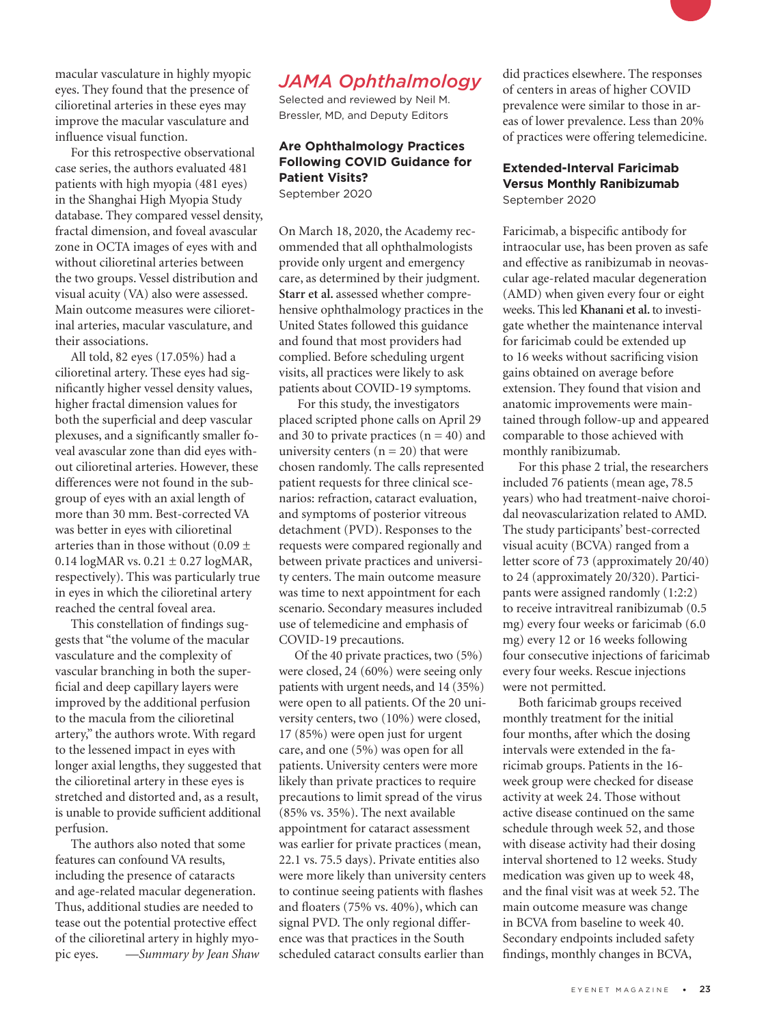

For this retrospective observational case series, the authors evaluated 481 patients with high myopia (481 eyes) in the Shanghai High Myopia Study database. They compared vessel density, fractal dimension, and foveal avascular zone in OCTA images of eyes with and without cilioretinal arteries between the two groups. Vessel distribution and visual acuity (VA) also were assessed. Main outcome measures were cilioretinal arteries, macular vasculature, and their associations.

All told, 82 eyes (17.05%) had a cilioretinal artery. These eyes had significantly higher vessel density values, higher fractal dimension values for both the superficial and deep vascular plexuses, and a significantly smaller foveal avascular zone than did eyes without cilioretinal arteries. However, these differences were not found in the subgroup of eyes with an axial length of more than 30 mm. Best-corrected VA was better in eyes with cilioretinal arteries than in those without (0.09  $\pm$ 0.14  $logMAR vs. 0.21 \pm 0.27 logMAR,$ respectively). This was particularly true in eyes in which the cilioretinal artery reached the central foveal area.

This constellation of findings suggests that "the volume of the macular vasculature and the complexity of vascular branching in both the superficial and deep capillary layers were improved by the additional perfusion to the macula from the cilioretinal artery," the authors wrote. With regard to the lessened impact in eyes with longer axial lengths, they suggested that the cilioretinal artery in these eyes is stretched and distorted and, as a result, is unable to provide sufficient additional perfusion.

The authors also noted that some features can confound VA results, including the presence of cataracts and age-related macular degeneration. Thus, additional studies are needed to tease out the potential protective effect of the cilioretinal artery in highly myopic eyes. *—Summary by Jean Shaw* 

## *JAMA Ophthalmology*

Selected and reviewed by Neil M. Bressler, MD, and Deputy Editors

#### **Are Ophthalmology Practices Following COVID Guidance for Patient Visits?** September 2020

On March 18, 2020, the Academy recommended that all ophthalmologists provide only urgent and emergency care, as determined by their judgment. **Starr et al.** assessed whether comprehensive ophthalmology practices in the United States followed this guidance and found that most providers had complied. Before scheduling urgent visits, all practices were likely to ask patients about COVID-19 symptoms.

 For this study, the investigators placed scripted phone calls on April 29 and 30 to private practices  $(n = 40)$  and university centers  $(n = 20)$  that were chosen randomly. The calls represented patient requests for three clinical scenarios: refraction, cataract evaluation, and symptoms of posterior vitreous detachment (PVD). Responses to the requests were compared regionally and between private practices and university centers. The main outcome measure was time to next appointment for each scenario. Secondary measures included use of telemedicine and emphasis of COVID-19 precautions.

Of the 40 private practices, two (5%) were closed, 24 (60%) were seeing only patients with urgent needs, and 14 (35%) were open to all patients. Of the 20 university centers, two (10%) were closed, 17 (85%) were open just for urgent care, and one (5%) was open for all patients. University centers were more likely than private practices to require precautions to limit spread of the virus (85% vs. 35%). The next available appointment for cataract assessment was earlier for private practices (mean, 22.1 vs. 75.5 days). Private entities also were more likely than university centers to continue seeing patients with flashes and floaters (75% vs. 40%), which can signal PVD. The only regional difference was that practices in the South scheduled cataract consults earlier than

did practices elsewhere. The responses of centers in areas of higher COVID prevalence were similar to those in areas of lower prevalence. Less than 20% of practices were offering telemedicine.

#### **Extended-Interval Faricimab Versus Monthly Ranibizumab** September 2020

Faricimab, a bispecific antibody for intraocular use, has been proven as safe and effective as ranibizumab in neovascular age-related macular degeneration (AMD) when given every four or eight weeks. This led **Khanani et al.** to investigate whether the maintenance interval for faricimab could be extended up to 16 weeks without sacrificing vision gains obtained on average before extension. They found that vision and anatomic improvements were maintained through follow-up and appeared comparable to those achieved with monthly ranibizumab.

For this phase 2 trial, the researchers included 76 patients (mean age, 78.5 years) who had treatment-naive choroidal neovascularization related to AMD. The study participants' best-corrected visual acuity (BCVA) ranged from a letter score of 73 (approximately 20/40) to 24 (approximately 20/320). Participants were assigned randomly (1:2:2) to receive intravitreal ranibizumab (0.5 mg) every four weeks or faricimab (6.0 mg) every 12 or 16 weeks following four consecutive injections of faricimab every four weeks. Rescue injections were not permitted.

Both faricimab groups received monthly treatment for the initial four months, after which the dosing intervals were extended in the faricimab groups. Patients in the 16 week group were checked for disease activity at week 24. Those without active disease continued on the same schedule through week 52, and those with disease activity had their dosing interval shortened to 12 weeks. Study medication was given up to week 48, and the final visit was at week 52. The main outcome measure was change in BCVA from baseline to week 40. Secondary endpoints included safety findings, monthly changes in BCVA,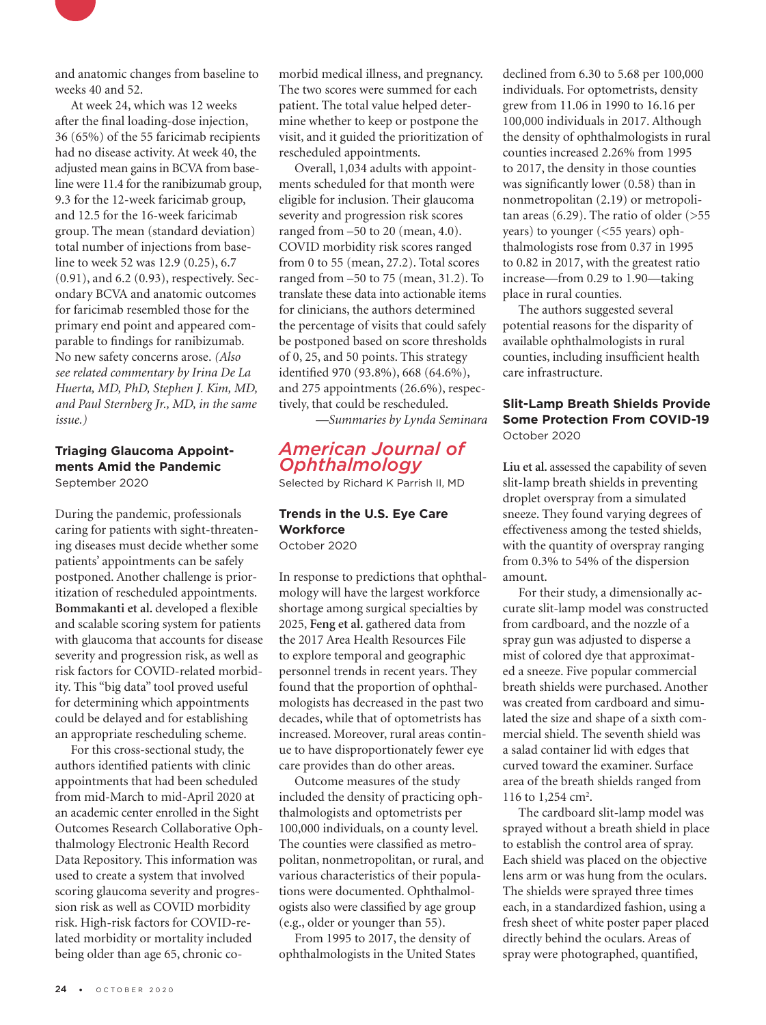

At week 24, which was 12 weeks after the final loading-dose injection, 36 (65%) of the 55 faricimab recipients had no disease activity. At week 40, the adjusted mean gains in BCVA from baseline were 11.4 for the ranibizumab group, 9.3 for the 12-week faricimab group, and 12.5 for the 16-week faricimab group. The mean (standard deviation) total number of injections from baseline to week 52 was 12.9 (0.25), 6.7 (0.91), and 6.2 (0.93), respectively. Secondary BCVA and anatomic outcomes for faricimab resembled those for the primary end point and appeared comparable to findings for ranibizumab. No new safety concerns arose. *(Also see related commentary by Irina De La Huerta, MD, PhD, Stephen J. Kim, MD, and Paul Sternberg Jr., MD, in the same issue.)*

#### **Triaging Glaucoma Appointments Amid the Pandemic** September 2020

During the pandemic, professionals caring for patients with sight-threatening diseases must decide whether some patients' appointments can be safely postponed. Another challenge is prioritization of rescheduled appointments. **Bommakanti et al.** developed a flexible and scalable scoring system for patients with glaucoma that accounts for disease severity and progression risk, as well as risk factors for COVID-related morbidity. This "big data" tool proved useful for determining which appointments could be delayed and for establishing an appropriate rescheduling scheme.

For this cross-sectional study, the authors identified patients with clinic appointments that had been scheduled from mid-March to mid-April 2020 at an academic center enrolled in the Sight Outcomes Research Collaborative Ophthalmology Electronic Health Record Data Repository. This information was used to create a system that involved scoring glaucoma severity and progression risk as well as COVID morbidity risk. High-risk factors for COVID-related morbidity or mortality included being older than age 65, chronic comorbid medical illness, and pregnancy. The two scores were summed for each patient. The total value helped determine whether to keep or postpone the visit, and it guided the prioritization of rescheduled appointments.

Overall, 1,034 adults with appointments scheduled for that month were eligible for inclusion. Their glaucoma severity and progression risk scores ranged from –50 to 20 (mean, 4.0). COVID morbidity risk scores ranged from 0 to 55 (mean, 27.2). Total scores ranged from –50 to 75 (mean, 31.2). To translate these data into actionable items for clinicians, the authors determined the percentage of visits that could safely be postponed based on score thresholds of 0, 25, and 50 points. This strategy identified 970 (93.8%), 668 (64.6%), and 275 appointments (26.6%), respectively, that could be rescheduled.

*—Summaries by Lynda Seminara*

## *American Journal of Ophthalmology*

Selected by Richard K Parrish II, MD

#### **Trends in the U.S. Eye Care Workforce** October 2020

In response to predictions that ophthalmology will have the largest workforce shortage among surgical specialties by 2025, **Feng et al.** gathered data from the 2017 Area Health Resources File to explore temporal and geographic personnel trends in recent years. They found that the proportion of ophthalmologists has decreased in the past two decades, while that of optometrists has increased. Moreover, rural areas continue to have disproportionately fewer eye care provides than do other areas.

Outcome measures of the study included the density of practicing ophthalmologists and optometrists per 100,000 individuals, on a county level. The counties were classified as metropolitan, nonmetropolitan, or rural, and various characteristics of their populations were documented. Ophthalmologists also were classified by age group (e.g., older or younger than 55).

From 1995 to 2017, the density of ophthalmologists in the United States

declined from 6.30 to 5.68 per 100,000 individuals. For optometrists, density grew from 11.06 in 1990 to 16.16 per 100,000 individuals in 2017. Although the density of ophthalmologists in rural counties increased 2.26% from 1995 to 2017, the density in those counties was significantly lower (0.58) than in nonmetropolitan (2.19) or metropolitan areas  $(6.29)$ . The ratio of older  $($ >55 years) to younger (<55 years) ophthalmologists rose from 0.37 in 1995 to 0.82 in 2017, with the greatest ratio increase—from 0.29 to 1.90—taking place in rural counties.

The authors suggested several potential reasons for the disparity of available ophthalmologists in rural counties, including insufficient health care infrastructure.

#### **Slit-Lamp Breath Shields Provide Some Protection From COVID-19** October 2020

**Liu et al.** assessed the capability of seven slit-lamp breath shields in preventing droplet overspray from a simulated sneeze. They found varying degrees of effectiveness among the tested shields, with the quantity of overspray ranging from 0.3% to 54% of the dispersion amount.

For their study, a dimensionally accurate slit-lamp model was constructed from cardboard, and the nozzle of a spray gun was adjusted to disperse a mist of colored dye that approximated a sneeze. Five popular commercial breath shields were purchased. Another was created from cardboard and simulated the size and shape of a sixth commercial shield. The seventh shield was a salad container lid with edges that curved toward the examiner. Surface area of the breath shields ranged from 116 to  $1,254$  cm<sup>2</sup>.

The cardboard slit-lamp model was sprayed without a breath shield in place to establish the control area of spray. Each shield was placed on the objective lens arm or was hung from the oculars. The shields were sprayed three times each, in a standardized fashion, using a fresh sheet of white poster paper placed directly behind the oculars. Areas of spray were photographed, quantified,